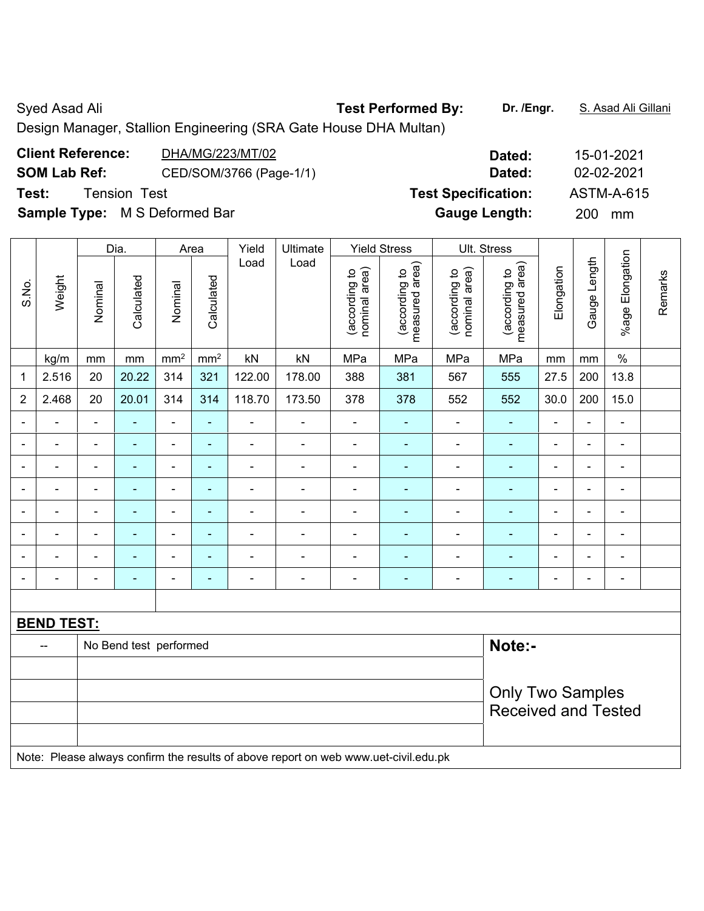## Syed Asad Ali **Test Performed By:** Dr. /Engr. **S. Asad Ali Gillani** Ali Cillani

Design Manager, Stallion Engineering (SRA Gate House DHA Multan)

| <b>Client Reference:</b><br>DHA/MG/223/MT/02   | Dated:                     | 15-01-2021        |
|------------------------------------------------|----------------------------|-------------------|
| <b>SOM Lab Ref:</b><br>CED/SOM/3766 (Page-1/1) | Dated:                     | 02-02-2021        |
| Test:<br><b>Tension Test</b>                   | <b>Test Specification:</b> | <b>ASTM-A-615</b> |
| <b>Sample Type:</b> M S Deformed Bar           | <b>Gauge Length:</b>       | 200<br>mm         |
|                                                |                            |                   |

|                |                          |                          | Dia.                   |                              | Area            | Yield                    | Ultimate                                                                            |                                | <b>Yield Stress</b>             |                                | Ult. Stress                     |                          |                |                              |         |
|----------------|--------------------------|--------------------------|------------------------|------------------------------|-----------------|--------------------------|-------------------------------------------------------------------------------------|--------------------------------|---------------------------------|--------------------------------|---------------------------------|--------------------------|----------------|------------------------------|---------|
| S.No.          | Weight                   | Nominal                  | Calculated             | Nominal                      | Calculated      | Load                     | Load                                                                                | nominal area)<br>(according to | (according to<br>measured area) | (according to<br>nominal area) | (according to<br>measured area) | Elongation               | Gauge Length   | %age Elongation              | Remarks |
|                | kg/m                     | mm                       | mm                     | mm <sup>2</sup>              | mm <sup>2</sup> | $\mathsf{k}\mathsf{N}$   | kN                                                                                  | MPa                            | MPa                             | MPa                            | MPa                             | mm                       | $\,mm$         | $\%$                         |         |
| 1              | 2.516                    | 20                       | 20.22                  | 314                          | 321             | 122.00                   | 178.00                                                                              | 388                            | 381                             | 567                            | 555                             | 27.5                     | 200            | 13.8                         |         |
| $\overline{2}$ | 2.468                    | 20                       | 20.01                  | 314                          | 314             | 118.70                   | 173.50                                                                              | 378                            | 378                             | 552                            | 552                             | 30.0                     | 200            | 15.0                         |         |
| $\blacksquare$ | $\overline{\phantom{a}}$ | $\overline{\phantom{a}}$ | $\blacksquare$         | $\qquad \qquad \blacksquare$ | $\blacksquare$  | $\overline{\phantom{a}}$ | $\qquad \qquad \blacksquare$                                                        | $\blacksquare$                 | ۰                               | $\qquad \qquad \blacksquare$   | $\blacksquare$                  | $\overline{\phantom{a}}$ | $\blacksquare$ | $\qquad \qquad \blacksquare$ |         |
| $\blacksquare$ | $\blacksquare$           | $\blacksquare$           | $\blacksquare$         | $\blacksquare$               | $\blacksquare$  | $\blacksquare$           | $\overline{\phantom{a}}$                                                            | $\blacksquare$                 | $\blacksquare$                  | $\qquad \qquad \blacksquare$   | $\blacksquare$                  | $\blacksquare$           | $\blacksquare$ | $\overline{\phantom{a}}$     |         |
| $\blacksquare$ |                          | $\blacksquare$           | $\blacksquare$         | $\blacksquare$               | $\blacksquare$  | $\blacksquare$           | $\blacksquare$                                                                      | $\blacksquare$                 | ۰                               | ÷                              | $\blacksquare$                  |                          | $\blacksquare$ | $\blacksquare$               |         |
| $\blacksquare$ | $\overline{\phantom{0}}$ | $\blacksquare$           | $\blacksquare$         | $\blacksquare$               | $\blacksquare$  | $\blacksquare$           | $\blacksquare$                                                                      | ÷                              | ٠                               | $\blacksquare$                 | $\blacksquare$                  | $\blacksquare$           | $\blacksquare$ | $\blacksquare$               |         |
| $\blacksquare$ | $\blacksquare$           | $\blacksquare$           | $\blacksquare$         | $\qquad \qquad \blacksquare$ | $\blacksquare$  | $\blacksquare$           | $\blacksquare$                                                                      | $\blacksquare$                 | ۰                               | $\blacksquare$                 | $\blacksquare$                  | $\blacksquare$           | $\blacksquare$ | $\overline{\phantom{a}}$     |         |
| $\blacksquare$ | ÷,                       | $\blacksquare$           | $\blacksquare$         | $\blacksquare$               | $\blacksquare$  | $\blacksquare$           | $\overline{\phantom{a}}$                                                            | $\blacksquare$                 | ÷                               | $\blacksquare$                 | $\blacksquare$                  | $\blacksquare$           | $\blacksquare$ | $\blacksquare$               |         |
| $\blacksquare$ | $\blacksquare$           | $\blacksquare$           | $\blacksquare$         | $\blacksquare$               | $\blacksquare$  | ä,                       | $\blacksquare$                                                                      | $\blacksquare$                 | ÷                               | ÷,                             | $\blacksquare$                  | $\blacksquare$           | $\blacksquare$ | ÷,                           |         |
| $\blacksquare$ |                          |                          | ٠                      | $\blacksquare$               | $\blacksquare$  |                          | ÷                                                                                   | ÷                              | ۰                               |                                | $\blacksquare$                  | $\blacksquare$           | $\blacksquare$ | $\blacksquare$               |         |
|                |                          |                          |                        |                              |                 |                          |                                                                                     |                                |                                 |                                |                                 |                          |                |                              |         |
|                | <b>BEND TEST:</b>        |                          |                        |                              |                 |                          |                                                                                     |                                |                                 |                                |                                 |                          |                |                              |         |
|                | $-$                      |                          | No Bend test performed |                              |                 |                          |                                                                                     |                                |                                 |                                | Note:-                          |                          |                |                              |         |
|                |                          |                          |                        |                              |                 |                          |                                                                                     |                                |                                 |                                |                                 |                          |                |                              |         |
|                |                          |                          |                        |                              |                 |                          |                                                                                     |                                |                                 |                                | <b>Only Two Samples</b>         |                          |                |                              |         |
|                |                          |                          |                        |                              |                 |                          |                                                                                     |                                |                                 |                                | <b>Received and Tested</b>      |                          |                |                              |         |
|                |                          |                          |                        |                              |                 |                          | Note: Please always confirm the results of above report on web www.uet-civil.edu.pk |                                |                                 |                                |                                 |                          |                |                              |         |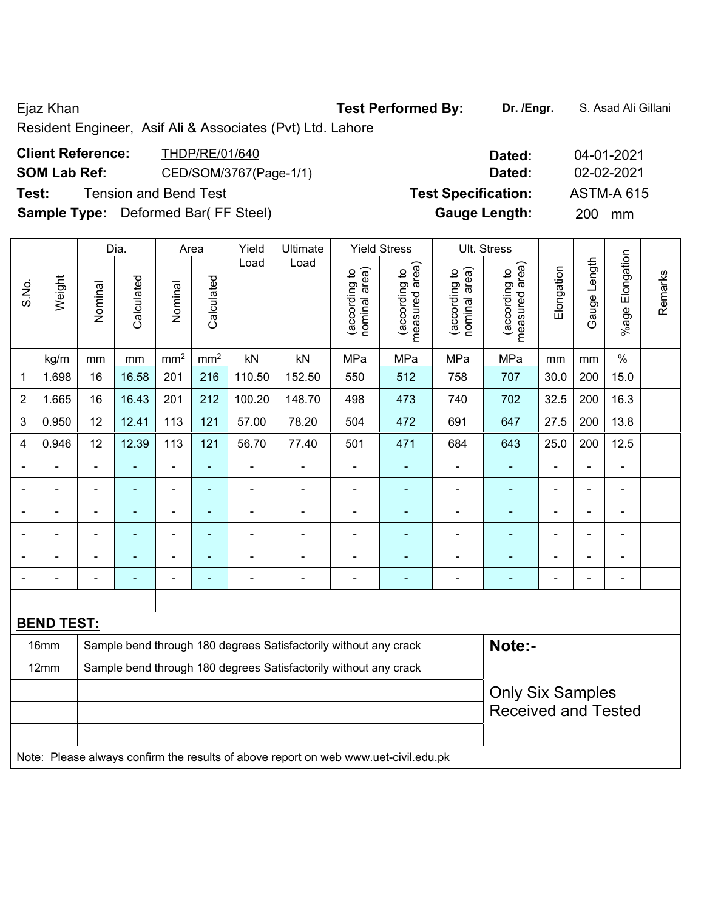Resident Engineer, Asif Ali & Associates (Pvt) Ltd. Lahore

| <b>Client Reference:</b> | THDP/RE/01/640                             | Dated:                     | 04-01-2021        |
|--------------------------|--------------------------------------------|----------------------------|-------------------|
| <b>SOM Lab Ref:</b>      | CED/SOM/3767(Page-1/1)                     | Dated:                     | 02-02-2021        |
| Test:                    | <b>Tension and Bend Test</b>               | <b>Test Specification:</b> | <b>ASTM-A 615</b> |
|                          | <b>Sample Type:</b> Deformed Bar(FF Steel) | <b>Gauge Length:</b>       | 200 mm            |

|                |                   |                | Dia.           |                          | Area                     | Yield  | Ultimate                                                         |                                | <b>Yield Stress</b>             |                                | Ult. Stress                                           |                          |                |                              |         |
|----------------|-------------------|----------------|----------------|--------------------------|--------------------------|--------|------------------------------------------------------------------|--------------------------------|---------------------------------|--------------------------------|-------------------------------------------------------|--------------------------|----------------|------------------------------|---------|
| S.No.          | Weight            | Nominal        | Calculated     | Nominal                  | Calculated               | Load   | Load                                                             | nominal area)<br>(according to | (according to<br>measured area) | nominal area)<br>(according to | (according to<br>measured area)                       | Elongation               | Gauge Length   | %age Elongation              | Remarks |
|                | kg/m              | mm             | mm             | mm <sup>2</sup>          | mm <sup>2</sup>          | kN     | kN                                                               | MPa                            | MPa                             | MPa                            | MPa                                                   | mm                       | mm             | $\%$                         |         |
| 1              | 1.698             | 16             | 16.58          | 201                      | 216                      | 110.50 | 152.50                                                           | 550                            | 512                             | 758                            | 707                                                   | 30.0                     | 200            | 15.0                         |         |
| $\overline{2}$ | 1.665             | 16             | 16.43          | 201                      | 212                      | 100.20 | 148.70                                                           | 498                            | 473                             | 740                            | 702                                                   | 32.5                     | 200            | 16.3                         |         |
| 3              | 0.950             | 12             | 12.41          | 113                      | 121                      | 57.00  | 78.20                                                            | 504                            | 472                             | 691                            | 647                                                   | 27.5                     | 200            | 13.8                         |         |
| 4              | 0.946             | 12             | 12.39          | 113                      | 121                      | 56.70  | 77.40                                                            | 501                            | 471                             | 684                            | 643                                                   | 25.0                     | 200            | 12.5                         |         |
|                |                   |                |                | $\blacksquare$           | ۰                        |        |                                                                  | $\overline{\phantom{0}}$       | ۰                               | ÷                              |                                                       |                          | $\blacksquare$ | $\blacksquare$               |         |
|                | ۰                 | $\blacksquare$ | $\blacksquare$ | $\blacksquare$           | $\blacksquare$           | ۰      | $\blacksquare$                                                   | $\blacksquare$                 | ٠                               | ۰                              | ٠                                                     | $\blacksquare$           | $\blacksquare$ | $\overline{\phantom{a}}$     |         |
|                |                   | $\blacksquare$ |                | $\blacksquare$           | ÷                        |        |                                                                  | -                              |                                 |                                |                                                       |                          | $\blacksquare$ | $\qquad \qquad \blacksquare$ |         |
|                |                   | $\blacksquare$ | $\blacksquare$ | $\overline{\phantom{0}}$ | $\overline{\phantom{a}}$ |        |                                                                  | $\blacksquare$                 | $\overline{\phantom{0}}$        | $\blacksquare$                 | $\blacksquare$                                        |                          | $\blacksquare$ | $\blacksquare$               |         |
|                |                   | $\blacksquare$ | $\blacksquare$ | $\blacksquare$           | ä,                       |        | $\blacksquare$                                                   | $\blacksquare$                 | ۰                               | $\blacksquare$                 | $\blacksquare$                                        |                          |                | $\blacksquare$               |         |
|                |                   | $\overline{a}$ |                | $\overline{\phantom{0}}$ | ۰                        |        | $\blacksquare$                                                   |                                | ۰                               |                                |                                                       | $\overline{\phantom{0}}$ | $\blacksquare$ | $\blacksquare$               |         |
|                |                   |                |                |                          |                          |        |                                                                  |                                |                                 |                                |                                                       |                          |                |                              |         |
|                | <b>BEND TEST:</b> |                |                |                          |                          |        |                                                                  |                                |                                 |                                |                                                       |                          |                |                              |         |
|                | 16mm              |                |                |                          |                          |        | Sample bend through 180 degrees Satisfactorily without any crack |                                |                                 |                                | Note:-                                                |                          |                |                              |         |
|                | 12mm              |                |                |                          |                          |        | Sample bend through 180 degrees Satisfactorily without any crack |                                |                                 |                                |                                                       |                          |                |                              |         |
|                |                   |                |                |                          |                          |        |                                                                  |                                |                                 |                                | <b>Only Six Samples</b><br><b>Received and Tested</b> |                          |                |                              |         |

Note: Please always confirm the results of above report on web www.uet-civil.edu.pk

Ejaz Khan **Test Performed By:** Dr. /Engr. **S. Asad Ali Gillani** Cileni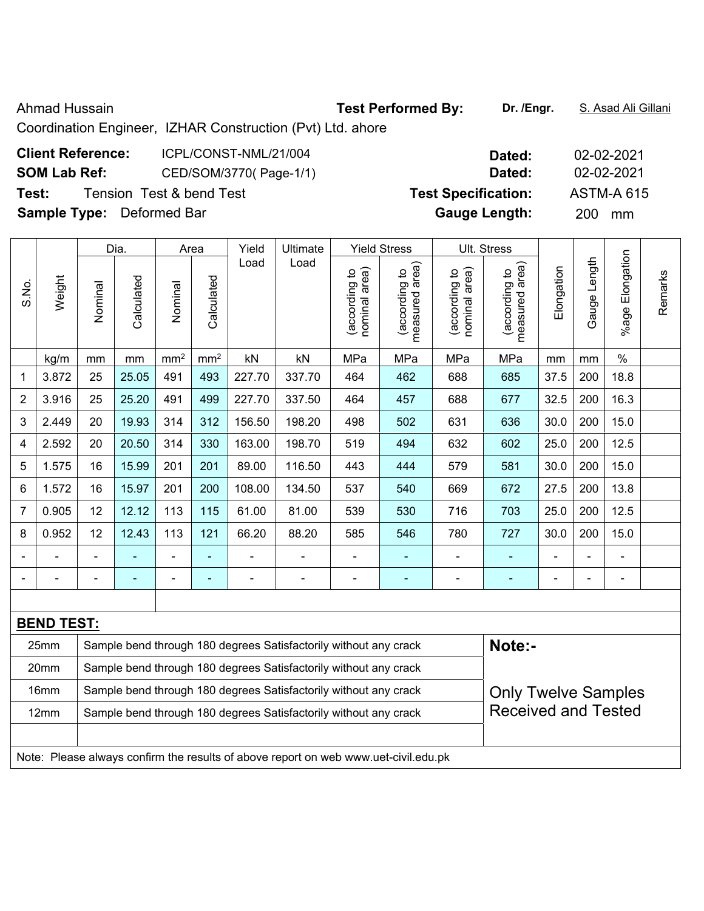Ahmad Hussain **Test Performed By:** Dr. /Engr. **S. Asad Ali Gillani** Ahmad Hussain

Coordination Engineer, IZHAR Construction (Pvt) Ltd. ahore

| <b>Client Reference:</b>         | ICPL/CONST-NML/21/004    | Dated:                     | 02-02-2021        |
|----------------------------------|--------------------------|----------------------------|-------------------|
| <b>SOM Lab Ref:</b>              | CED/SOM/3770(Page-1/1)   | Dated:                     | 02-02-2021        |
| Test:                            | Tension Test & bend Test | <b>Test Specification:</b> | <b>ASTM-A 615</b> |
| <b>Sample Type:</b> Deformed Bar |                          | <b>Gauge Length:</b>       | <b>200</b><br>mm  |

|                |                   |         | Dia.                                                                       |                 | Area                     | Yield          | Ultimate                                                         |                                | <b>Yield Stress</b>             |                                | Ult. Stress                     |                |                          |                      |         |
|----------------|-------------------|---------|----------------------------------------------------------------------------|-----------------|--------------------------|----------------|------------------------------------------------------------------|--------------------------------|---------------------------------|--------------------------------|---------------------------------|----------------|--------------------------|----------------------|---------|
| S.No.          | Weight            | Nominal | Calculated                                                                 | Nominal         | Calculated               | Load           | Load                                                             | nominal area)<br>(according to | (according to<br>measured area) | nominal area)<br>(according to | measured area)<br>(according to | Elongation     | Gauge Length             | Elongation<br>%age I | Remarks |
|                | kg/m              | mm      | $\,mm$                                                                     | mm <sup>2</sup> | mm <sup>2</sup>          | kN             | kN                                                               | MPa                            | MPa                             | MPa                            | MPa                             | mm             | mm                       | $\%$                 |         |
| $\mathbf 1$    | 3.872             | 25      | 25.05                                                                      | 491             | 493                      | 227.70         | 337.70                                                           | 464                            | 462                             | 688                            | 685                             | 37.5           | 200                      | 18.8                 |         |
| $\overline{2}$ | 3.916             | 25      | 25.20                                                                      | 491             | 499                      | 227.70         | 337.50                                                           | 464                            | 457                             | 688                            | 677                             | 32.5           | 200                      | 16.3                 |         |
| 3              | 2.449             | 20      | 19.93                                                                      | 314             | 312                      | 156.50         | 198.20                                                           | 498                            | 502                             | 631                            | 636                             | 30.0           | 200                      | 15.0                 |         |
| 4              | 2.592             | 20      | 20.50                                                                      | 314             | 330                      | 163.00         | 198.70                                                           | 519                            | 494                             | 632                            | 602                             | 25.0           | 200                      | 12.5                 |         |
| 5              | 1.575             | 16      | 15.99                                                                      | 201             | 201                      | 89.00          | 116.50                                                           | 443                            | 444                             | 579                            | 581                             | 30.0           | 200                      | 15.0                 |         |
| 6              | 1.572             | 16      | 15.97                                                                      | 201             | 200                      | 108.00         | 134.50                                                           | 537                            | 540                             | 669                            | 672                             | 27.5           | 200                      | 13.8                 |         |
| 7              | 0.905             | 12      | 12.12                                                                      | 113             | 115                      | 61.00          | 81.00                                                            | 539                            | 530                             | 716                            | 703                             | 25.0           | 200                      | 12.5                 |         |
| 8              | 0.952             | 12      | 12.43                                                                      | 113             | 121                      | 66.20          | 88.20                                                            | 585                            | 546                             | 780                            | 727                             | 30.0           | 200                      | 15.0                 |         |
|                |                   |         |                                                                            | $\blacksquare$  | ä,                       |                |                                                                  | ä,                             | ٠                               | ÷,                             |                                 |                |                          | $\blacksquare$       |         |
|                |                   |         |                                                                            | $\blacksquare$  | $\overline{\phantom{0}}$ | $\overline{a}$ | $\blacksquare$                                                   | -                              | $\overline{\phantom{0}}$        | $\overline{a}$                 |                                 | $\blacksquare$ | $\overline{\phantom{0}}$ | $\blacksquare$       |         |
|                |                   |         |                                                                            |                 |                          |                |                                                                  |                                |                                 |                                |                                 |                |                          |                      |         |
|                | <b>BEND TEST:</b> |         |                                                                            |                 |                          |                |                                                                  |                                |                                 |                                |                                 |                |                          |                      |         |
|                | 25mm              |         | Note:-<br>Sample bend through 180 degrees Satisfactorily without any crack |                 |                          |                |                                                                  |                                |                                 |                                |                                 |                |                          |                      |         |
|                | 20mm              |         |                                                                            |                 |                          |                | Sample bend through 180 degrees Satisfactorily without any crack |                                |                                 |                                |                                 |                |                          |                      |         |
|                | 16mm              |         |                                                                            |                 |                          |                | Sample bend through 180 degrees Satisfactorily without any crack |                                |                                 |                                | <b>Only Twelve Samples</b>      |                |                          |                      |         |
|                | 12mm              |         |                                                                            |                 |                          |                | Sample bend through 180 degrees Satisfactorily without any crack |                                |                                 |                                | <b>Received and Tested</b>      |                |                          |                      |         |
|                |                   |         |                                                                            |                 |                          |                |                                                                  |                                |                                 |                                |                                 |                |                          |                      |         |

Note: Please always confirm the results of above report on web www.uet-civil.edu.pk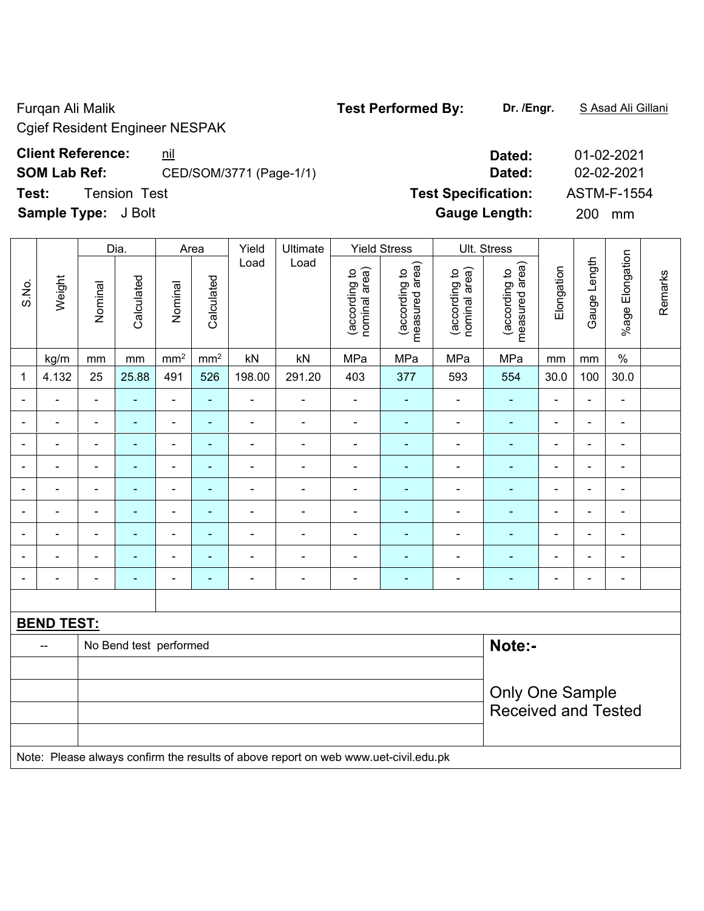Cgief Resident Engineer NESPAK

### **Client Reference:** <u>nil</u> **Dated:** 01-02-2021

**SOM Lab Ref:** CED/SOM/3771 (Page-1/1) **Dated:** 02-02-2021

**Test:** Tension Test **Test Specification:** ASTM-F-1554

**Sample Type:** J Bolt **Gauge Length:** 200 mm

|                |                   |                          | Dia.                   | Ult. Stress<br>Area<br>Yield<br><b>Yield Stress</b><br>Ultimate |                |                |                                                                                     |                                |                                 |                                |                                    |                          |                          |                          |         |
|----------------|-------------------|--------------------------|------------------------|-----------------------------------------------------------------|----------------|----------------|-------------------------------------------------------------------------------------|--------------------------------|---------------------------------|--------------------------------|------------------------------------|--------------------------|--------------------------|--------------------------|---------|
| S.No.          | Weight            | Nominal                  | Calculated             | Nominal                                                         | Calculated     | Load           | Load                                                                                | nominal area)<br>(according to | measured area)<br>(according to | nominal area)<br>(according to | area)<br>(according to<br>measured | Elongation               | Gauge Length             | %age Elongation          | Remarks |
|                | kg/m              | mm                       | mm                     | mm <sup>2</sup>                                                 | $\text{mm}^2$  | kN             | kN                                                                                  | MPa                            | MPa                             | MPa                            | MPa                                | mm                       | mm                       | $\%$                     |         |
| 1              | 4.132             | 25                       | 25.88                  | 491                                                             | 526            | 198.00         | 291.20                                                                              | 403                            | 377                             | 593                            | 554                                | 30.0                     | 100                      | 30.0                     |         |
| $\blacksquare$ | $\blacksquare$    | $\blacksquare$           | ÷                      | $\qquad \qquad \blacksquare$                                    | $\blacksquare$ | $\blacksquare$ | $\overline{\phantom{a}}$                                                            | $\blacksquare$                 | $\blacksquare$                  | $\frac{1}{2}$                  | $\blacksquare$                     | $\blacksquare$           | $\blacksquare$           | $\blacksquare$           |         |
| $\blacksquare$ |                   | $\overline{\phantom{a}}$ | ÷,                     | $\qquad \qquad \blacksquare$                                    | $\blacksquare$ | $\blacksquare$ | $\overline{\phantom{a}}$                                                            | $\blacksquare$                 | $\blacksquare$                  | $\overline{\phantom{a}}$       | $\blacksquare$                     | ÷                        | $\overline{\phantom{a}}$ | $\overline{\phantom{a}}$ |         |
| $\blacksquare$ |                   | $\overline{\phantom{a}}$ | ۰                      | $\qquad \qquad \blacksquare$                                    | $\blacksquare$ | $\blacksquare$ | $\qquad \qquad \blacksquare$                                                        | $\blacksquare$                 | $\blacksquare$                  | $\overline{\phantom{a}}$       | $\blacksquare$                     | ÷                        | $\blacksquare$           | $\blacksquare$           |         |
|                |                   | L,                       |                        | $\blacksquare$                                                  | $\blacksquare$ |                |                                                                                     |                                |                                 |                                | $\blacksquare$                     |                          | $\blacksquare$           | $\blacksquare$           |         |
|                |                   | ä,                       | $\blacksquare$         | $\blacksquare$                                                  | ÷              |                | $\blacksquare$                                                                      |                                | ۳                               | $\blacksquare$                 | $\blacksquare$                     | $\blacksquare$           | $\blacksquare$           | $\blacksquare$           |         |
| $\blacksquare$ |                   | $\blacksquare$           | ۰                      | $\blacksquare$                                                  | $\blacksquare$ | $\blacksquare$ | $\blacksquare$                                                                      | $\blacksquare$                 | ۰                               | $\blacksquare$                 | $\blacksquare$                     | $\blacksquare$           | ä,                       | $\blacksquare$           |         |
| $\blacksquare$ |                   | $\blacksquare$           | ۰                      | $\blacksquare$                                                  | $\blacksquare$ | $\blacksquare$ | $\blacksquare$                                                                      | $\blacksquare$                 | ۳                               | $\blacksquare$                 | $\blacksquare$                     | $\blacksquare$           | $\blacksquare$           | $\blacksquare$           |         |
| $\blacksquare$ |                   | $\blacksquare$           | ۰                      | $\blacksquare$                                                  | $\blacksquare$ | $\blacksquare$ | $\blacksquare$                                                                      | $\blacksquare$                 | $\blacksquare$                  | $\overline{\phantom{a}}$       | $\blacksquare$                     | $\blacksquare$           | $\blacksquare$           | $\blacksquare$           |         |
|                |                   | $\blacksquare$           | ۰                      | $\blacksquare$                                                  | $\blacksquare$ | $\blacksquare$ | $\blacksquare$                                                                      | $\blacksquare$                 | ۳                               | $\blacksquare$                 | $\blacksquare$                     | $\overline{\phantom{0}}$ | $\blacksquare$           | $\overline{\phantom{a}}$ |         |
|                |                   |                          |                        |                                                                 |                |                |                                                                                     |                                |                                 |                                |                                    |                          |                          |                          |         |
|                | <b>BEND TEST:</b> |                          |                        |                                                                 |                |                |                                                                                     |                                |                                 |                                |                                    |                          |                          |                          |         |
|                | --                |                          | No Bend test performed |                                                                 |                |                |                                                                                     |                                |                                 |                                | Note:-                             |                          |                          |                          |         |
|                |                   |                          |                        |                                                                 |                |                |                                                                                     |                                |                                 |                                |                                    |                          |                          |                          |         |
|                |                   | <b>Only One Sample</b>   |                        |                                                                 |                |                |                                                                                     |                                |                                 |                                |                                    |                          |                          |                          |         |
|                |                   |                          |                        |                                                                 |                |                |                                                                                     |                                |                                 |                                | <b>Received and Tested</b>         |                          |                          |                          |         |
|                |                   |                          |                        |                                                                 |                |                |                                                                                     |                                |                                 |                                |                                    |                          |                          |                          |         |
|                |                   |                          |                        |                                                                 |                |                | Note: Please always confirm the results of above report on web www.uet-civil.edu.pk |                                |                                 |                                |                                    |                          |                          |                          |         |

#### Furqan Ali Malik **Test Performed By: Dr. /Engr.** S Asad Ali Gillani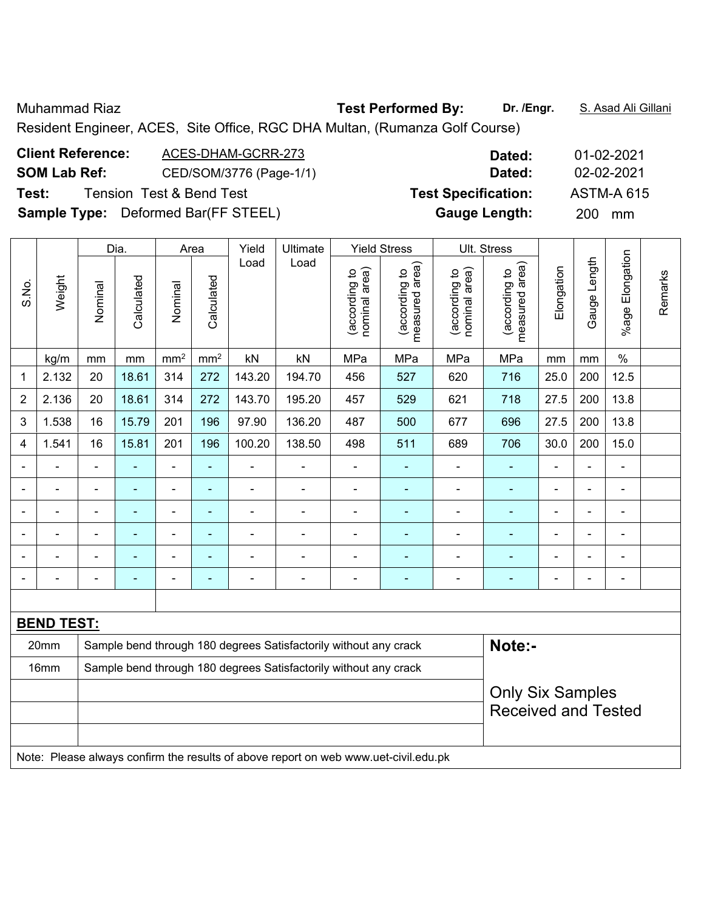Muhammad Riaz **Test Performed By: Dr. /Engr.** S. Asad Ali Gillani

Resident Engineer, ACES, Site Office, RGC DHA Multan, (Rumanza Golf Course)

| <b>Client Reference:</b> | ACES-DHAM-GCRR-273                         | Dated:                     | 01-02-2021        |
|--------------------------|--------------------------------------------|----------------------------|-------------------|
| <b>SOM Lab Ref:</b>      | CED/SOM/3776 (Page-1/1)                    | Dated:                     | 02-02-2021        |
| Test:                    | <b>Tension Test &amp; Bend Test</b>        | <b>Test Specification:</b> | <b>ASTM-A 615</b> |
|                          | <b>Sample Type:</b> Deformed Bar(FF STEEL) | <b>Gauge Length:</b>       | 200 mm            |

|                |                   |                              | Dia.                                                                       |                          | Area            | Yield                    | Ultimate                                                         |                                | <b>Yield Stress</b>             |                                | Ult. Stress                     |                |                |                      |         |
|----------------|-------------------|------------------------------|----------------------------------------------------------------------------|--------------------------|-----------------|--------------------------|------------------------------------------------------------------|--------------------------------|---------------------------------|--------------------------------|---------------------------------|----------------|----------------|----------------------|---------|
| S.No.          | Weight            | Nominal                      | Calculated                                                                 | Nominal                  | Calculated      | Load                     | Load                                                             | (according to<br>nominal area) | (according to<br>measured area) | nominal area)<br>(according to | (according to<br>measured area) | Elongation     | Gauge Length   | Elongation<br>%age I | Remarks |
|                | kg/m              | mm                           | $\,mm$                                                                     | mm <sup>2</sup>          | mm <sup>2</sup> | kN                       | kN                                                               | MPa                            | MPa                             | MPa                            | MPa                             | mm             | mm             | $\%$                 |         |
| 1              | 2.132             | 20                           | 18.61                                                                      | 314                      | 272             | 143.20                   | 194.70                                                           | 456                            | 527                             | 620                            | 716                             | 25.0           | 200            | 12.5                 |         |
| $\overline{2}$ | 2.136             | 20                           | 18.61                                                                      | 314                      | 272             | 143.70                   | 195.20                                                           | 457                            | 529                             | 621                            | 718                             | 27.5           | 200            | 13.8                 |         |
| 3              | 1.538             | 16                           | 15.79                                                                      | 201                      | 196             | 97.90                    | 136.20                                                           | 487                            | 500                             | 677                            | 696                             | 27.5           | 200            | 13.8                 |         |
| 4              | 1.541             | 16                           | 15.81                                                                      | 201                      | 196             | 100.20                   | 138.50                                                           | 498                            | 511                             | 689                            | 706                             | 30.0           | 200            | 15.0                 |         |
|                |                   | $\blacksquare$               | $\blacksquare$                                                             | $\blacksquare$           | $\blacksquare$  | $\blacksquare$           |                                                                  | ä,                             |                                 |                                | $\blacksquare$                  |                | -              | ä,                   |         |
|                |                   |                              | ٠                                                                          | $\blacksquare$           | $\blacksquare$  | $\blacksquare$           | $\blacksquare$                                                   | ä,                             | ÷                               | $\blacksquare$                 | $\blacksquare$                  |                | $\blacksquare$ | $\blacksquare$       |         |
| $\blacksquare$ | $\blacksquare$    | $\blacksquare$               | $\blacksquare$                                                             | $\blacksquare$           | ÷,              | $\blacksquare$           | $\blacksquare$                                                   | $\blacksquare$                 | $\blacksquare$                  | $\blacksquare$                 | $\blacksquare$                  | $\blacksquare$ | ä,             | $\blacksquare$       |         |
|                | ä,                | $\qquad \qquad \blacksquare$ | $\blacksquare$                                                             | $\overline{\phantom{a}}$ | $\blacksquare$  | $\overline{\phantom{0}}$ |                                                                  | $\overline{a}$                 | ÷                               | ۰                              | $\blacksquare$                  |                | $\blacksquare$ | $\blacksquare$       |         |
|                |                   |                              |                                                                            | $\overline{\phantom{0}}$ |                 |                          |                                                                  | $\blacksquare$                 |                                 |                                |                                 |                | $\overline{a}$ | $\overline{a}$       |         |
| $\blacksquare$ |                   | $\blacksquare$               | $\blacksquare$                                                             | $\blacksquare$           | $\blacksquare$  | $\blacksquare$           | $\overline{a}$                                                   |                                | ۳                               | ÷                              | $\overline{\phantom{0}}$        | $\blacksquare$ | $\blacksquare$ | $\blacksquare$       |         |
|                |                   |                              |                                                                            |                          |                 |                          |                                                                  |                                |                                 |                                |                                 |                |                |                      |         |
|                | <b>BEND TEST:</b> |                              |                                                                            |                          |                 |                          |                                                                  |                                |                                 |                                |                                 |                |                |                      |         |
|                | 20mm              |                              | Note:-<br>Sample bend through 180 degrees Satisfactorily without any crack |                          |                 |                          |                                                                  |                                |                                 |                                |                                 |                |                |                      |         |
|                | 16mm              |                              |                                                                            |                          |                 |                          | Sample bend through 180 degrees Satisfactorily without any crack |                                |                                 |                                |                                 |                |                |                      |         |
|                |                   |                              |                                                                            |                          |                 |                          |                                                                  |                                |                                 |                                | <b>Only Six Samples</b>         |                |                |                      |         |
|                |                   |                              |                                                                            |                          |                 |                          |                                                                  |                                |                                 |                                | <b>Received and Tested</b>      |                |                |                      |         |
|                |                   |                              |                                                                            |                          |                 |                          |                                                                  |                                |                                 |                                |                                 |                |                |                      |         |

Note: Please always confirm the results of above report on web www.uet-civil.edu.pk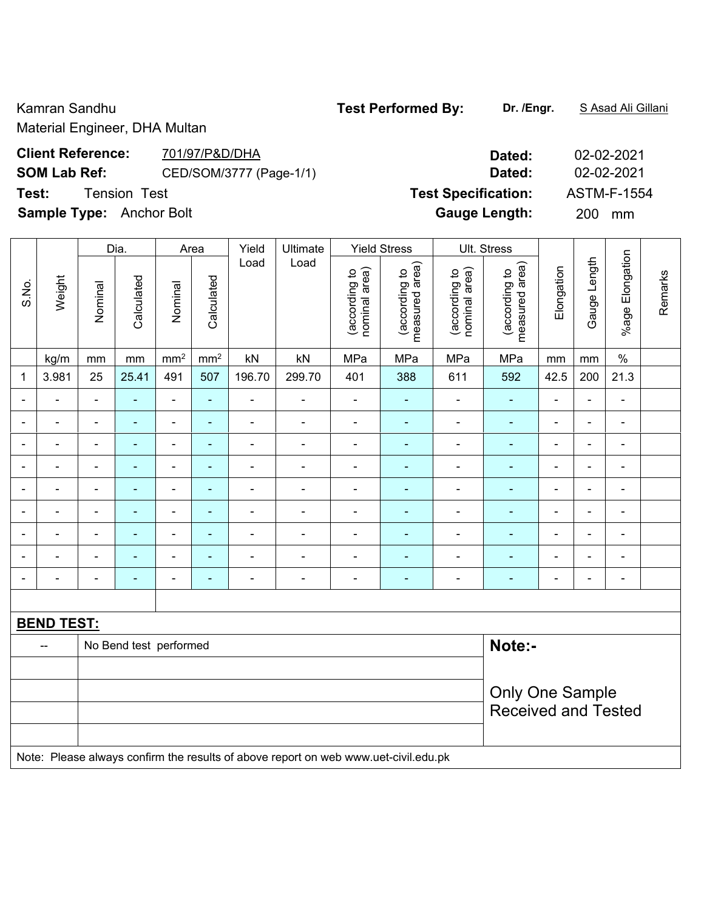Material Engineer, DHA Multan

## **Client Reference:** 701/97/P&D/DHA Dated: 02-02-2021 **SOM Lab Ref:** CED/SOM/3777 (Page-1/1) **Dated:** 02-02-2021 **Test:** Tension Test **Test Specification:** ASTM-F-1554 **Sample Type:** Anchor Bolt **Gauge Length:** 200 mm

|              |                   |                                                                                     | Ult. Stress<br>Dia.<br><b>Yield Stress</b><br>Area<br>Yield<br>Ultimate |                 |                          |                              |                |                                |                                 |                                |                                 |                          |                          |                              |         |
|--------------|-------------------|-------------------------------------------------------------------------------------|-------------------------------------------------------------------------|-----------------|--------------------------|------------------------------|----------------|--------------------------------|---------------------------------|--------------------------------|---------------------------------|--------------------------|--------------------------|------------------------------|---------|
| S.No.        | Weight            | Nominal                                                                             | Calculated                                                              | Nominal         | Calculated               | Load                         | Load           | nominal area)<br>(according to | (according to<br>measured area) | (according to<br>nominal area) | measured area)<br>(according to | Elongation               | Gauge Length             | %age Elongation              | Remarks |
|              | kg/m              | mm                                                                                  | mm                                                                      | mm <sup>2</sup> | mm <sup>2</sup>          | kN                           | kN             | MPa                            | MPa                             | MPa                            | MPa                             | mm                       | mm                       | $\%$                         |         |
| $\mathbf{1}$ | 3.981             | 25                                                                                  | 25.41                                                                   | 491             | 507                      | 196.70                       | 299.70         | 401                            | 388                             | 611                            | 592                             | 42.5                     | 200                      | 21.3                         |         |
|              |                   | $\blacksquare$                                                                      | ä,                                                                      | $\blacksquare$  |                          | ÷,                           | $\blacksquare$ | $\blacksquare$                 |                                 | $\frac{1}{2}$                  | $\blacksquare$                  | $\blacksquare$           | $\blacksquare$           | $\blacksquare$               |         |
|              | $\blacksquare$    | $\blacksquare$                                                                      | ÷                                                                       | $\blacksquare$  | $\blacksquare$           | ÷,                           | $\blacksquare$ | $\blacksquare$                 | $\blacksquare$                  | ÷,                             | $\frac{1}{2}$                   | $\blacksquare$           | $\blacksquare$           | $\blacksquare$               |         |
|              | $\blacksquare$    | $\blacksquare$                                                                      | $\blacksquare$                                                          | $\blacksquare$  | ٠                        | $\qquad \qquad \blacksquare$ | $\blacksquare$ | $\blacksquare$                 | ۰                               | $\overline{\phantom{a}}$       | $\blacksquare$                  | $\blacksquare$           | $\blacksquare$           | $\blacksquare$               |         |
|              | $\blacksquare$    | ä,                                                                                  | ÷,                                                                      | $\blacksquare$  | ۰                        | $\qquad \qquad \blacksquare$ | $\blacksquare$ | $\blacksquare$                 | $\blacksquare$                  | $\qquad \qquad \blacksquare$   | $\blacksquare$                  | $\blacksquare$           | $\blacksquare$           | $\overline{\phantom{0}}$     |         |
|              |                   | L,                                                                                  | ä,                                                                      | $\blacksquare$  | ۰                        | ÷,                           | $\blacksquare$ | $\blacksquare$                 | $\blacksquare$                  | ÷,                             | ä,                              | ÷,                       | $\blacksquare$           | $\qquad \qquad \blacksquare$ |         |
|              |                   |                                                                                     | ۰                                                                       |                 |                          | $\overline{\phantom{0}}$     | $\blacksquare$ | $\blacksquare$                 | ۰                               | $\overline{\phantom{0}}$       | $\blacksquare$                  | $\overline{a}$           | $\overline{\phantom{0}}$ |                              |         |
|              |                   | $\overline{\phantom{a}}$                                                            | ۰                                                                       | $\blacksquare$  | $\blacksquare$           | $\blacksquare$               | $\blacksquare$ | $\blacksquare$                 | $\blacksquare$                  | $\overline{a}$                 | $\blacksquare$                  | $\blacksquare$           | $\blacksquare$           | $\blacksquare$               |         |
|              |                   | $\blacksquare$                                                                      | ÷                                                                       | $\blacksquare$  | $\overline{\phantom{0}}$ | $\blacksquare$               | ä,             | $\blacksquare$                 | ۰                               | $\overline{a}$                 | $\blacksquare$                  | $\overline{\phantom{a}}$ | $\overline{\phantom{a}}$ | $\blacksquare$               |         |
|              |                   | Ē,                                                                                  | ۰                                                                       | $\blacksquare$  | ÷                        | $\blacksquare$               | $\blacksquare$ | $\blacksquare$                 | ۰                               | $\overline{a}$                 | $\blacksquare$                  | $\blacksquare$           | $\overline{\phantom{a}}$ | $\qquad \qquad \blacksquare$ |         |
|              |                   |                                                                                     |                                                                         |                 |                          |                              |                |                                |                                 |                                |                                 |                          |                          |                              |         |
|              | <b>BEND TEST:</b> |                                                                                     |                                                                         |                 |                          |                              |                |                                |                                 |                                |                                 |                          |                          |                              |         |
|              |                   |                                                                                     | No Bend test performed                                                  |                 |                          |                              |                |                                |                                 |                                | Note:-                          |                          |                          |                              |         |
|              |                   |                                                                                     |                                                                         |                 |                          |                              |                |                                |                                 |                                |                                 |                          |                          |                              |         |
|              |                   | <b>Only One Sample</b>                                                              |                                                                         |                 |                          |                              |                |                                |                                 |                                |                                 |                          |                          |                              |         |
|              |                   |                                                                                     |                                                                         |                 |                          |                              |                |                                |                                 |                                | <b>Received and Tested</b>      |                          |                          |                              |         |
|              |                   |                                                                                     |                                                                         |                 |                          |                              |                |                                |                                 |                                |                                 |                          |                          |                              |         |
|              |                   | Note: Please always confirm the results of above report on web www.uet-civil.edu.pk |                                                                         |                 |                          |                              |                |                                |                                 |                                |                                 |                          |                          |                              |         |

#### Kamran Sandhu **Test Performed By:** Dr. /Engr. **SAsad Ali Gillani** Camran Sandhu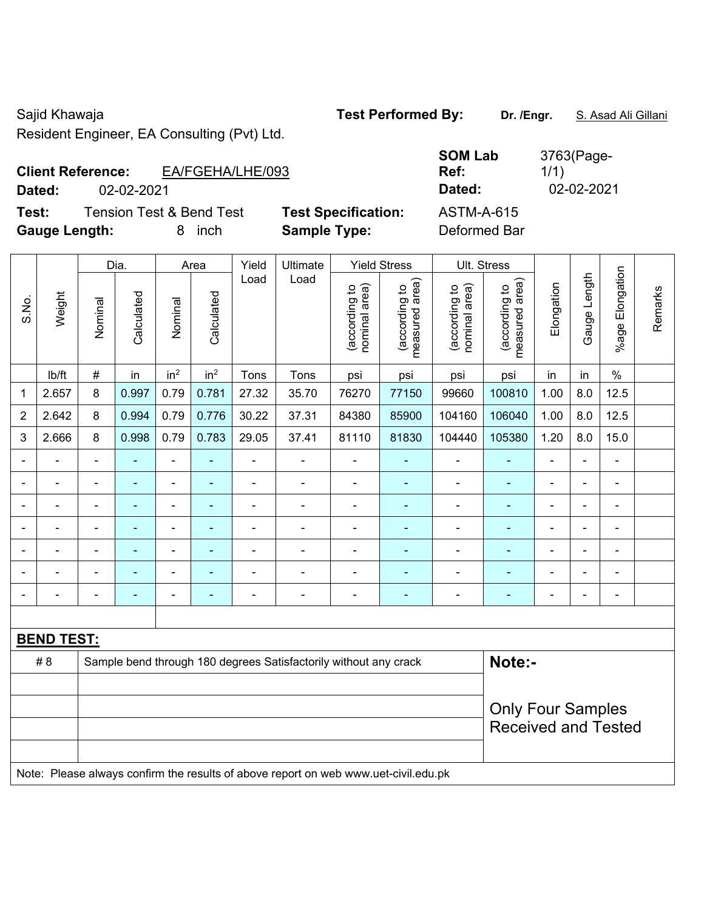Sajid Khawaja **Test Performed By: Dr. /Engr.** S. Asad Ali Gillani Resident Engineer, EA Consulting (Pvt) Ltd.

#### **Client Reference:** EA/FGEHA/LHE/093 **Dated:** 02-02-2021 **Dated:** 02-02-2021

**Test:** Tension Test & Bend Test **Test Specification: Gauge Length:** 8 inch **Sample Type:** Deformed Bar

| <b>SOM Lab</b><br>Ref: | 3763(Page-<br>1/1) |
|------------------------|--------------------|
| Dated:                 | 02-02-202          |
| ASTM-A-615             |                    |

|                          |                   |                          | Dia.<br>Yield<br>Ultimate<br><b>Yield Stress</b><br>Ult. Stress<br>Area |                 |                 |                |                                                                                     |                                |                                 |                                |                                 |                |                |                       |         |
|--------------------------|-------------------|--------------------------|-------------------------------------------------------------------------|-----------------|-----------------|----------------|-------------------------------------------------------------------------------------|--------------------------------|---------------------------------|--------------------------------|---------------------------------|----------------|----------------|-----------------------|---------|
| S.No.                    | Weight            | Nominal                  | Calculated                                                              | Nominal         | Calculated      | Load           | Load                                                                                | nominal area)<br>(according to | (according to<br>measured area) | nominal area)<br>(according to | (according to<br>measured area) | Elongation     | Gauge Length   | Elongation<br>$%$ age | Remarks |
|                          | lb/ft             | $\#$                     | in                                                                      | in <sup>2</sup> | in <sup>2</sup> | Tons           | Tons                                                                                | psi                            | psi                             | psi                            | psi                             | in             | in             | $\frac{0}{0}$         |         |
| 1                        | 2.657             | 8                        | 0.997                                                                   | 0.79            | 0.781           | 27.32          | 35.70                                                                               | 76270                          | 77150                           | 99660                          | 100810                          | 1.00           | 8.0            | 12.5                  |         |
| $\overline{2}$           | 2.642             | 8                        | 0.994                                                                   | 0.79            | 0.776           | 30.22          | 37.31                                                                               | 84380                          | 85900                           | 104160                         | 106040                          | 1.00           | 8.0            | 12.5                  |         |
| 3                        | 2.666             | 8                        | 0.998                                                                   | 0.79            | 0.783           | 29.05          | 37.41                                                                               | 81110                          | 81830                           | 104440                         | 105380                          | 1.20           | 8.0            | 15.0                  |         |
|                          |                   | $\overline{\phantom{0}}$ | $\blacksquare$                                                          | $\blacksquare$  |                 |                | ÷                                                                                   |                                |                                 |                                | $\blacksquare$                  | $\blacksquare$ |                | $\blacksquare$        |         |
|                          | $\blacksquare$    |                          |                                                                         | $\blacksquare$  |                 |                |                                                                                     | $\blacksquare$                 |                                 |                                |                                 | L,             |                | $\blacksquare$        |         |
| $\overline{\phantom{0}}$ | $\blacksquare$    | $\blacksquare$           | $\blacksquare$                                                          | $\blacksquare$  |                 | $\blacksquare$ | i.                                                                                  | $\blacksquare$                 | $\blacksquare$                  | $\blacksquare$                 | $\blacksquare$                  | $\blacksquare$ |                | $\blacksquare$        |         |
| $\blacksquare$           | $\blacksquare$    | ä,                       | ÷,                                                                      | $\blacksquare$  | ۰               | Ē,             | Ē,                                                                                  | $\blacksquare$                 |                                 | ä,                             | ۰                               | $\blacksquare$ | $\blacksquare$ | $\blacksquare$        |         |
| $\blacksquare$           | $\blacksquare$    | $\blacksquare$           | ۰                                                                       | $\blacksquare$  | $\blacksquare$  | $\blacksquare$ | $\blacksquare$                                                                      | $\blacksquare$                 | $\blacksquare$                  | $\blacksquare$                 | $\blacksquare$                  | $\blacksquare$ | $\blacksquare$ | $\blacksquare$        |         |
|                          | $\blacksquare$    | $\blacksquare$           | ۰                                                                       | $\blacksquare$  | ۰               | $\blacksquare$ | Ē,                                                                                  | $\overline{a}$                 | $\blacksquare$                  | $\blacksquare$                 | $\blacksquare$                  | $\blacksquare$ | $\blacksquare$ | $\blacksquare$        |         |
|                          | $\blacksquare$    | $\blacksquare$           | ÷,                                                                      | $\blacksquare$  | ۰               | $\blacksquare$ | ä,                                                                                  | $\blacksquare$                 | $\blacksquare$                  | $\blacksquare$                 | $\blacksquare$                  | $\blacksquare$ |                | $\blacksquare$        |         |
|                          |                   |                          |                                                                         |                 |                 |                |                                                                                     |                                |                                 |                                |                                 |                |                |                       |         |
|                          | <b>BEND TEST:</b> |                          |                                                                         |                 |                 |                |                                                                                     |                                |                                 |                                |                                 |                |                |                       |         |
|                          | # 8               |                          |                                                                         |                 |                 |                | Sample bend through 180 degrees Satisfactorily without any crack                    |                                |                                 |                                | Note:-                          |                |                |                       |         |
|                          |                   |                          |                                                                         |                 |                 |                |                                                                                     |                                |                                 |                                |                                 |                |                |                       |         |
|                          |                   |                          |                                                                         |                 |                 |                |                                                                                     |                                |                                 |                                | <b>Only Four Samples</b>        |                |                |                       |         |
|                          |                   |                          |                                                                         |                 |                 |                |                                                                                     |                                |                                 |                                | <b>Received and Tested</b>      |                |                |                       |         |
|                          |                   |                          |                                                                         |                 |                 |                |                                                                                     |                                |                                 |                                |                                 |                |                |                       |         |
|                          |                   |                          |                                                                         |                 |                 |                | Note: Please always confirm the results of above report on web www.uet-civil.edu.pk |                                |                                 |                                |                                 |                |                |                       |         |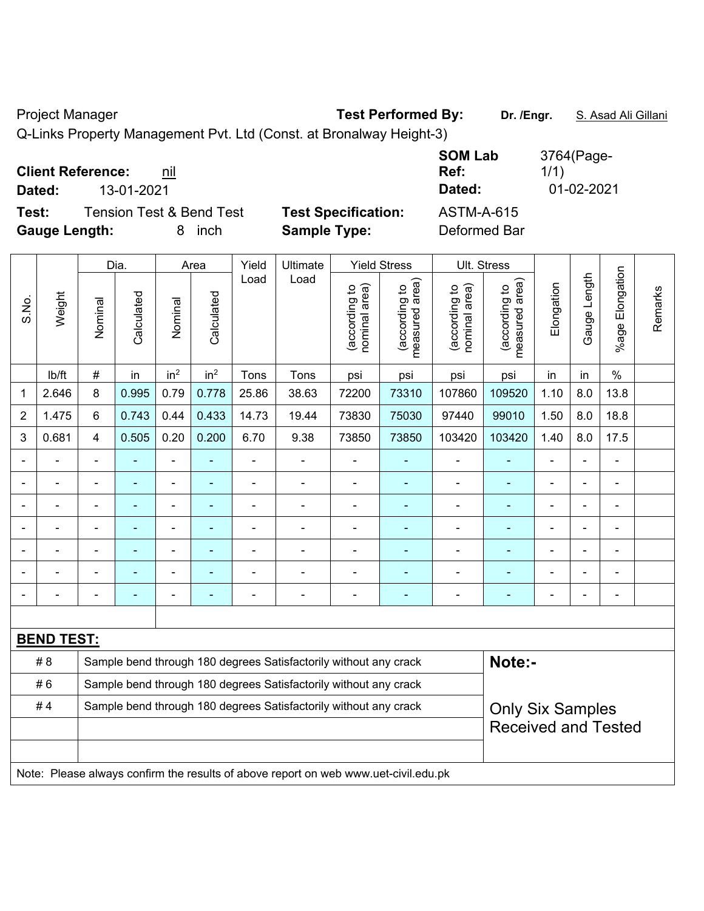#### Project Manager **Test Performed By:** Dr. /Engr. **S. Asad Ali Gillani** And Dr. /Engr. **S. Asad Ali Gillani**

Q-Links Property Management Pvt. Ltd (Const. at Bronalway Height-3)

| <b>Client Reference:</b><br>nil              | <b>SOM Lab</b><br>Ref:                          | 3764(Page-<br>1/1) |
|----------------------------------------------|-------------------------------------------------|--------------------|
| 13-01-2021<br>Dated:                         | Dated:                                          | 01-02-2021         |
| <b>Tension Test &amp; Bend Test</b><br>Test: | <b>Test Specification:</b><br><b>ASTM-A-615</b> |                    |
| <b>Gauge Length:</b><br>inch<br>8            | <b>Sample Type:</b><br>Deformed Bar             |                    |

|                |                                                                                     |                                                                  | Dia.       |                 | Area            | Yield          | Ultimate                                                         |                                | <b>Yield Stress</b>                         |                                | Ult. Stress                     |                |                |                          |         |
|----------------|-------------------------------------------------------------------------------------|------------------------------------------------------------------|------------|-----------------|-----------------|----------------|------------------------------------------------------------------|--------------------------------|---------------------------------------------|--------------------------------|---------------------------------|----------------|----------------|--------------------------|---------|
| S.No.          | Weight                                                                              | Nominal                                                          | Calculated | Nominal         | Calculated      | Load           | Load                                                             | nominal area)<br>(according to | (according to<br>measured area)<br>measured | nominal area)<br>(according to | (according to<br>measured area) | Elongation     | Gauge Length   | Elongation<br>$%$ age    | Remarks |
|                | lb/ft                                                                               | $\#$                                                             | in         | in <sup>2</sup> | in <sup>2</sup> | Tons           | Tons                                                             | psi                            | psi                                         | psi                            | psi                             | in             | in             | $\%$                     |         |
| 1              | 2.646                                                                               | 8                                                                | 0.995      | 0.79            | 0.778           | 25.86          | 38.63                                                            | 72200                          | 73310                                       | 107860                         | 109520                          | 1.10           | 8.0            | 13.8                     |         |
| $\overline{2}$ | 1.475                                                                               | 6                                                                | 0.743      | 0.44            | 0.433           | 14.73          | 19.44                                                            | 73830                          | 75030                                       | 97440                          | 99010                           | 1.50           | 8.0            | 18.8                     |         |
| $\mathfrak{S}$ | 0.681                                                                               | 4                                                                | 0.505      | 0.20            | 0.200           | 6.70           | 9.38                                                             | 73850                          | 73850                                       | 103420                         | 103420                          | 1.40           | 8.0            | 17.5                     |         |
|                |                                                                                     | $\blacksquare$                                                   | ä,         | ÷,              | ۰               | ä,             | $\blacksquare$                                                   | $\blacksquare$                 | $\blacksquare$                              | $\blacksquare$                 | $\blacksquare$                  | $\blacksquare$ | ä,             | $\overline{\phantom{a}}$ |         |
|                | ÷,                                                                                  | ä,                                                               | ÷,         | $\blacksquare$  | ÷,              | ä,             | ÷,                                                               | $\blacksquare$                 | ÷,                                          | $\blacksquare$                 | ÷,                              | $\blacksquare$ | ÷,             | $\blacksquare$           |         |
|                | $\blacksquare$                                                                      | $\blacksquare$                                                   | ÷,         | ÷,              | ۰               | $\blacksquare$ | $\blacksquare$                                                   | $\blacksquare$                 | $\blacksquare$                              | $\blacksquare$                 | ÷,                              | $\blacksquare$ | ä,             | $\blacksquare$           |         |
|                |                                                                                     |                                                                  |            | $\blacksquare$  |                 |                |                                                                  |                                | ٠                                           | $\blacksquare$                 | ٠                               |                |                | Ē,                       |         |
|                |                                                                                     |                                                                  |            |                 |                 |                |                                                                  |                                |                                             |                                |                                 |                |                |                          |         |
|                |                                                                                     |                                                                  |            |                 |                 |                | $\blacksquare$                                                   |                                |                                             |                                |                                 |                |                |                          |         |
| $\blacksquare$ |                                                                                     | $\overline{\phantom{0}}$                                         | ۰          | $\overline{a}$  | ۰               | $\overline{a}$ | $\overline{\phantom{0}}$                                         | $\blacksquare$                 | ٠                                           | -                              | $\overline{\phantom{0}}$        | $\blacksquare$ | $\blacksquare$ | ٠                        |         |
|                |                                                                                     |                                                                  |            |                 |                 |                |                                                                  |                                |                                             |                                |                                 |                |                |                          |         |
|                | <b>BEND TEST:</b>                                                                   |                                                                  |            |                 |                 |                |                                                                  |                                |                                             |                                |                                 |                |                |                          |         |
|                | # 8                                                                                 |                                                                  |            |                 |                 |                | Sample bend through 180 degrees Satisfactorily without any crack |                                |                                             |                                | Note:-                          |                |                |                          |         |
|                | #6                                                                                  | Sample bend through 180 degrees Satisfactorily without any crack |            |                 |                 |                |                                                                  |                                |                                             |                                |                                 |                |                |                          |         |
|                | #4                                                                                  |                                                                  |            |                 |                 |                | Sample bend through 180 degrees Satisfactorily without any crack |                                |                                             |                                | <b>Only Six Samples</b>         |                |                |                          |         |
|                |                                                                                     |                                                                  |            |                 |                 |                |                                                                  |                                |                                             |                                | <b>Received and Tested</b>      |                |                |                          |         |
|                |                                                                                     |                                                                  |            |                 |                 |                |                                                                  |                                |                                             |                                |                                 |                |                |                          |         |
|                | Note: Please always confirm the results of above report on web www.uet-civil.edu.pk |                                                                  |            |                 |                 |                |                                                                  |                                |                                             |                                |                                 |                |                |                          |         |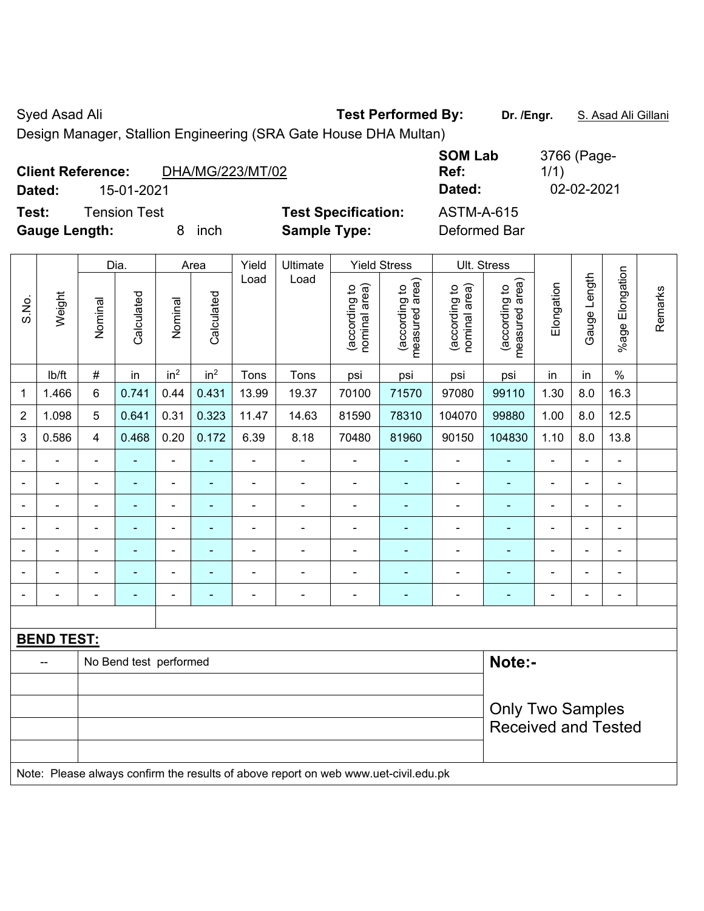Syed Asad Ali **Test Performed By:** Dr. /Engr. **S. Asad Ali Gillani** Assembly Controller and Ali Gillani

Design Manager, Stallion Engineering (SRA Gate House DHA Multan)

| <b>Client Reference:</b> |                     | DHA/MG/223/MT/02 |                            | <b>SOM Lab</b><br>Ref: | 3766 (Page-<br>1/1) |
|--------------------------|---------------------|------------------|----------------------------|------------------------|---------------------|
| Dated:                   | 15-01-2021          |                  |                            | Dated:                 | 02-02-2021          |
| Test:                    | <b>Tension Test</b> |                  | <b>Test Specification:</b> | <b>ASTM-A-615</b>      |                     |
| <b>Gauge Length:</b>     |                     | inch             | <b>Sample Type:</b>        | Deformed Bar           |                     |

|                |                                                                                     |                                                       | Dia.                     |                              | Area            | Yield          | Ultimate       |                                | <b>Yield Stress</b>             |                                | Ult. Stress                     |                              |                |                          |         |
|----------------|-------------------------------------------------------------------------------------|-------------------------------------------------------|--------------------------|------------------------------|-----------------|----------------|----------------|--------------------------------|---------------------------------|--------------------------------|---------------------------------|------------------------------|----------------|--------------------------|---------|
| S.No.          | Weight                                                                              | Nominal                                               | Calculated               | Nominal                      | Calculated      | Load           | Load           | (according to<br>nominal area) | (according to<br>measured area) | (according to<br>nominal area) | measured area)<br>(according to | Elongation                   | Gauge Length   | %age Elongation          | Remarks |
|                | lb/ft                                                                               | $\#$                                                  | in                       | in <sup>2</sup>              | in <sup>2</sup> | Tons           | Tons           | psi                            | psi                             | psi                            | psi                             | in                           | in             | $\%$                     |         |
| 1              | 1.466                                                                               | 6                                                     | 0.741                    | 0.44                         | 0.431           | 13.99          | 19.37          | 70100                          | 71570                           | 97080                          | 99110                           | 1.30                         | 8.0            | 16.3                     |         |
| $\overline{2}$ | 1.098                                                                               | 5                                                     | 0.641                    | 0.31                         | 0.323           | 11.47          | 14.63          | 81590                          | 78310                           | 104070                         | 99880                           | 1.00                         | 8.0            | 12.5                     |         |
| 3              | 0.586                                                                               | 4                                                     | 0.468                    | 0.20                         | 0.172           | 6.39           | 8.18           | 70480                          | 81960                           | 90150                          | 104830                          | 1.10                         | 8.0            | 13.8                     |         |
| $\blacksquare$ |                                                                                     | $\blacksquare$                                        | $\overline{\phantom{0}}$ | $\qquad \qquad \blacksquare$ | $\blacksquare$  | $\blacksquare$ | $\blacksquare$ | $\blacksquare$                 | ۰                               | $\blacksquare$                 | $\blacksquare$                  | $\blacksquare$               | ÷,             | $\blacksquare$           |         |
| ä,             | $\blacksquare$                                                                      | $\blacksquare$                                        | $\blacksquare$           | $\frac{1}{2}$                | ä,              | ä,             | $\blacksquare$ | $\blacksquare$                 | $\blacksquare$                  | $\overline{\phantom{a}}$       | ÷,                              | $\blacksquare$               | ÷,             | $\blacksquare$           |         |
| $\blacksquare$ | $\blacksquare$                                                                      | $\blacksquare$                                        | ۰                        | $\blacksquare$               | $\overline{a}$  | ä,             | $\blacksquare$ | $\overline{\phantom{0}}$       | $\blacksquare$                  | $\qquad \qquad \blacksquare$   | $\overline{\phantom{0}}$        | $\qquad \qquad \blacksquare$ | ۰              | $\overline{\phantom{a}}$ |         |
| $\blacksquare$ | $\blacksquare$                                                                      | $\blacksquare$                                        | $\blacksquare$           | $\frac{1}{2}$                | $\blacksquare$  | ä,             | $\blacksquare$ | $\blacksquare$                 | $\blacksquare$                  | $\blacksquare$                 | ÷                               | ä,                           | $\blacksquare$ | $\blacksquare$           |         |
|                |                                                                                     |                                                       | ۰                        | $\blacksquare$               | Ē.              | L,             | $\overline{a}$ | $\blacksquare$                 | $\blacksquare$                  | Ē,                             |                                 | Ē,                           | $\blacksquare$ | L,                       |         |
|                |                                                                                     |                                                       | ۰                        | ä,                           |                 |                | $\blacksquare$ | $\blacksquare$                 | $\blacksquare$                  |                                |                                 |                              | $\blacksquare$ | $\blacksquare$           |         |
| $\blacksquare$ | $\blacksquare$                                                                      | $\blacksquare$                                        | ۰                        | $\blacksquare$               | ÷               | ä,             | $\blacksquare$ | $\blacksquare$                 | $\blacksquare$                  | ٠                              | $\overline{\phantom{0}}$        | $\blacksquare$               | ۰              | $\blacksquare$           |         |
|                |                                                                                     |                                                       |                          |                              |                 |                |                |                                |                                 |                                |                                 |                              |                |                          |         |
|                | <b>BEND TEST:</b>                                                                   |                                                       |                          |                              |                 |                |                |                                |                                 |                                |                                 |                              |                |                          |         |
|                | --                                                                                  | Note:-<br>No Bend test performed                      |                          |                              |                 |                |                |                                |                                 |                                |                                 |                              |                |                          |         |
|                |                                                                                     |                                                       |                          |                              |                 |                |                |                                |                                 |                                |                                 |                              |                |                          |         |
|                |                                                                                     | <b>Only Two Samples</b><br><b>Received and Tested</b> |                          |                              |                 |                |                |                                |                                 |                                |                                 |                              |                |                          |         |
|                | Note: Please always confirm the results of above report on web www.uet-civil.edu.pk |                                                       |                          |                              |                 |                |                |                                |                                 |                                |                                 |                              |                |                          |         |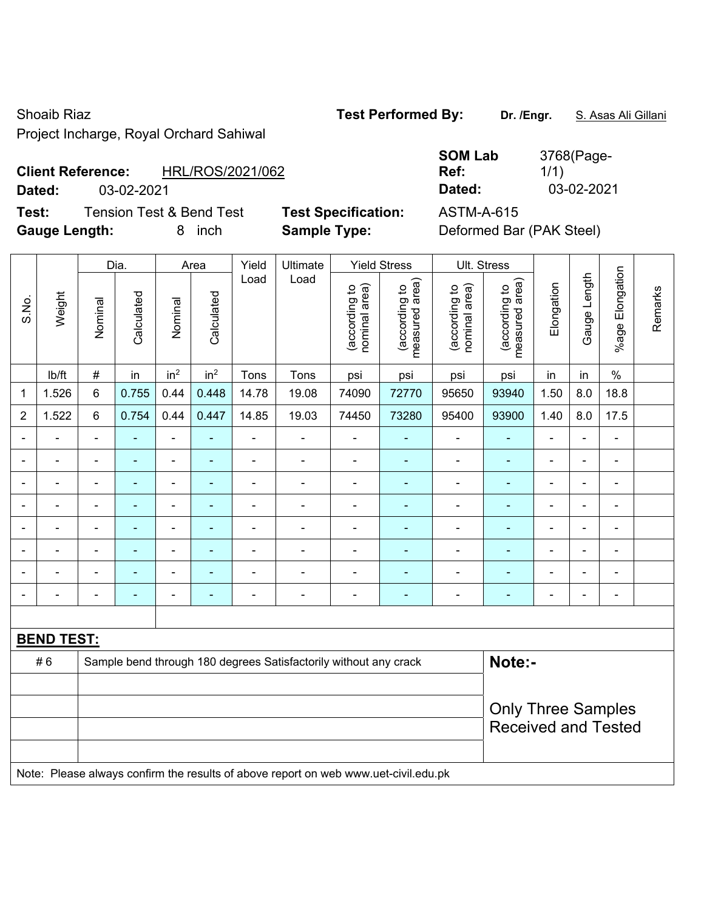Shoaib Riaz **Test Performed By: Dr. /Engr.** S. Asas Ali Gillani

Project Incharge, Royal Orchard Sahiwal

# **Client Reference:** HRL/ROS/2021/062

**Test:** Tension Test & Bend Test **Test Specification:** ASTM-A-615 **Gauge Length:** 8 inch **Sample Type:** Deformed Bar (PAK Steel)

**SOM Lab Ref:**  3768(Page-1/1) **Dated:** 03-02-2021 **Dated:** 03-02-2021

|                |                   |                           | Dia.           |                              | Area            | Yield          | Ultimate                                                                            |                                | <b>Yield Stress</b>             |                                | Ult. Stress                     |                |                |                          |         |
|----------------|-------------------|---------------------------|----------------|------------------------------|-----------------|----------------|-------------------------------------------------------------------------------------|--------------------------------|---------------------------------|--------------------------------|---------------------------------|----------------|----------------|--------------------------|---------|
| S.No.          | Weight            | Nominal                   | Calculated     | Nominal                      | Calculated      | Load           | Load                                                                                | nominal area)<br>(according to | (according to<br>measured area) | nominal area)<br>(according to | measured area)<br>(according to | Elongation     | Gauge Length   | %age Elongation          | Remarks |
|                | Ib/ft             | $\#$                      | in             | in <sup>2</sup>              | in <sup>2</sup> | Tons           | Tons                                                                                | psi                            | psi                             | psi                            | psi                             | in             | in             | $\frac{0}{0}$            |         |
| 1              | 1.526             | 6                         | 0.755          | 0.44                         | 0.448           | 14.78          | 19.08                                                                               | 74090                          | 72770                           | 95650                          | 93940                           | 1.50           | 8.0            | 18.8                     |         |
| $\overline{2}$ | 1.522             | 6                         | 0.754          | 0.44                         | 0.447           | 14.85          | 19.03                                                                               | 74450                          | 73280                           | 95400                          | 93900                           | 1.40           | 8.0            | 17.5                     |         |
|                |                   |                           |                | ä,                           |                 |                |                                                                                     |                                |                                 |                                |                                 |                |                | ä,                       |         |
|                |                   |                           | $\blacksquare$ | ÷                            |                 |                | ÷                                                                                   | $\blacksquare$                 | ÷                               | ÷                              | ä,                              |                | $\blacksquare$ | ÷                        |         |
| $\blacksquare$ |                   |                           | ÷              | $\qquad \qquad \blacksquare$ |                 | $\blacksquare$ | ÷,                                                                                  | $\blacksquare$                 | ٠                               | $\overline{\phantom{a}}$       | ä,                              | $\blacksquare$ | $\blacksquare$ | ÷                        |         |
|                |                   |                           | ٠              | $\blacksquare$               | $\overline{a}$  |                | ÷                                                                                   | $\overline{a}$                 | ÷                               | $\blacksquare$                 | ۰                               | ÷              | $\blacksquare$ | $\overline{\phantom{a}}$ |         |
|                | $\blacksquare$    | $\blacksquare$            | ä,             | $\blacksquare$               | $\blacksquare$  | L,             | ÷                                                                                   | $\blacksquare$                 | ٠                               | $\blacksquare$                 | ÷,                              | $\blacksquare$ | $\blacksquare$ | $\blacksquare$           |         |
|                | $\blacksquare$    | $\blacksquare$            | $\blacksquare$ | $\blacksquare$               |                 | $\blacksquare$ | ÷                                                                                   | $\blacksquare$                 | ä,                              | ä,                             | ÷,                              | $\blacksquare$ | $\blacksquare$ | ä,                       |         |
|                |                   |                           |                | ÷                            |                 |                |                                                                                     |                                |                                 |                                | $\blacksquare$                  |                |                |                          |         |
|                |                   | $\blacksquare$            |                | ÷                            | ٠               | L,             | ÷                                                                                   | $\blacksquare$                 | ÷                               |                                | ä,                              |                | $\blacksquare$ | ä,                       |         |
|                |                   |                           |                |                              |                 |                |                                                                                     |                                |                                 |                                |                                 |                |                |                          |         |
|                | <b>BEND TEST:</b> |                           |                |                              |                 |                |                                                                                     |                                |                                 |                                |                                 |                |                |                          |         |
|                | #6                |                           |                |                              |                 |                | Sample bend through 180 degrees Satisfactorily without any crack                    |                                |                                 |                                | Note:-                          |                |                |                          |         |
|                |                   |                           |                |                              |                 |                |                                                                                     |                                |                                 |                                |                                 |                |                |                          |         |
|                |                   | <b>Only Three Samples</b> |                |                              |                 |                |                                                                                     |                                |                                 |                                |                                 |                |                |                          |         |
|                |                   |                           |                |                              |                 |                |                                                                                     |                                |                                 |                                | <b>Received and Tested</b>      |                |                |                          |         |
|                |                   |                           |                |                              |                 |                | Note: Please always confirm the results of above report on web www.uet-civil.edu.pk |                                |                                 |                                |                                 |                |                |                          |         |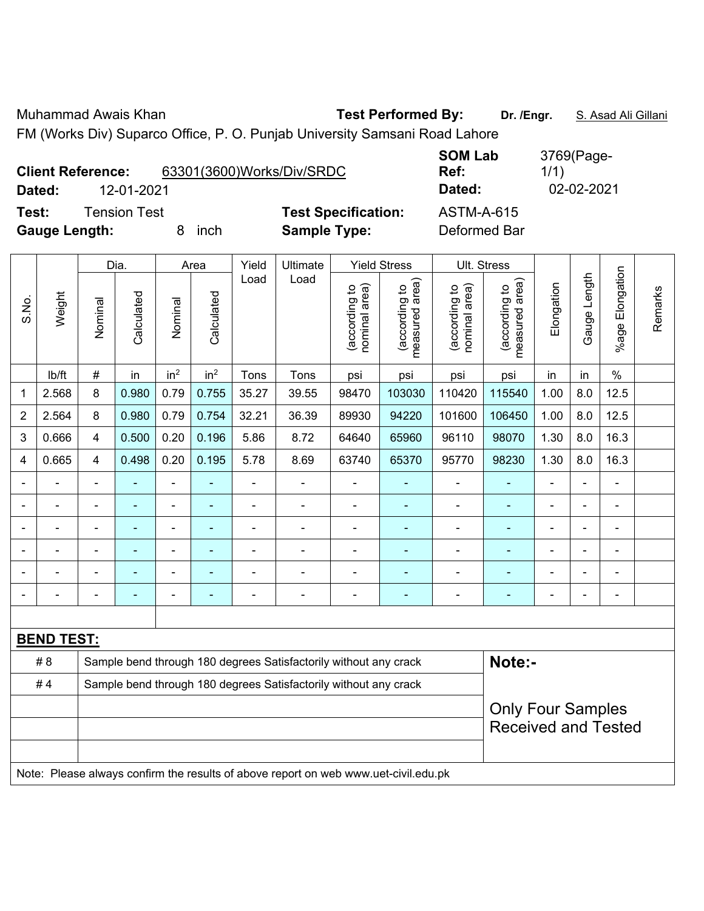Muhammad Awais Khan **Test Performed By: Dr. /Engr.** S. Asad Ali Gillani

FM (Works Div) Suparco Office, P. O. Punjab University Samsani Road Lahore

| <b>Client Reference:</b> |              |   | 63301(3600)Works/Div/SRDC |                            | <b>SOM Lab</b><br>Ref: | 3769(Page-<br>1/1) |
|--------------------------|--------------|---|---------------------------|----------------------------|------------------------|--------------------|
| Dated:                   | 12-01-2021   |   |                           |                            | Dated:                 | 02-02-2021         |
| Test:                    | Tension Test |   |                           | <b>Test Specification:</b> | <b>ASTM-A-615</b>      |                    |
| <b>Gauge Length:</b>     |              | 8 | inch                      | <b>Sample Type:</b>        | Deformed Bar           |                    |

|                |                                                                                     |                | Dia.           |                 | Area            | Yield          | Ultimate                                                         |                                | <b>Yield Stress</b>             |                                | Ult. Stress                     |                |                |                 |         |
|----------------|-------------------------------------------------------------------------------------|----------------|----------------|-----------------|-----------------|----------------|------------------------------------------------------------------|--------------------------------|---------------------------------|--------------------------------|---------------------------------|----------------|----------------|-----------------|---------|
| S.No.          | Weight                                                                              | Nominal        | Calculated     | Nominal         | Calculated      | Load           | Load                                                             | nominal area)<br>(according to | (according to<br>measured area) | nominal area)<br>(according to | (according to<br>measured area) | Elongation     | Gauge Length   | %age Elongation | Remarks |
|                | lb/ft                                                                               | $\#$           | in             | in <sup>2</sup> | in <sup>2</sup> | Tons           | Tons                                                             | psi                            | psi                             | psi                            | psi                             | in             | in             | $\%$            |         |
| 1              | 2.568                                                                               | 8              | 0.980          | 0.79            | 0.755           | 35.27          | 39.55                                                            | 98470                          | 103030                          | 110420                         | 115540                          | 1.00           | 8.0            | 12.5            |         |
| $\overline{2}$ | 2.564                                                                               | 8              | 0.980          | 0.79            | 0.754           | 32.21          | 36.39                                                            | 89930                          | 94220                           | 101600                         | 106450                          | 1.00           | 8.0            | 12.5            |         |
| 3              | 0.666                                                                               | 4              | 0.500          | 0.20            | 0.196           | 5.86           | 8.72                                                             | 64640                          | 65960                           | 96110                          | 98070                           | 1.30           | 8.0            | 16.3            |         |
| 4              | 0.665                                                                               | 4              | 0.498          | 0.20            | 0.195           | 5.78           | 8.69                                                             | 63740                          | 65370                           | 95770                          | 98230                           | 1.30           | 8.0            | 16.3            |         |
|                | $\blacksquare$                                                                      | Ξ.             | $\blacksquare$ | ä,              | ٠               | ä,             | ä,                                                               | $\blacksquare$                 | $\blacksquare$                  | $\overline{\phantom{a}}$       | ۰                               | $\blacksquare$ | ä,             | ä,              |         |
| $\blacksquare$ | $\blacksquare$                                                                      | ä,             | ä,             | $\blacksquare$  | $\blacksquare$  | $\blacksquare$ | ÷,                                                               | $\blacksquare$                 | ä,                              | $\blacksquare$                 | ÷                               | $\blacksquare$ | ä,             | $\blacksquare$  |         |
|                | $\overline{a}$                                                                      | $\blacksquare$ | $\blacksquare$ | $\blacksquare$  |                 | $\blacksquare$ | ÷,                                                               | Ē,                             | $\blacksquare$                  | $\overline{\phantom{a}}$       | ÷                               | ä,             | $\blacksquare$ | $\blacksquare$  |         |
| $\blacksquare$ | $\blacksquare$                                                                      | ä,             | $\blacksquare$ | $\blacksquare$  |                 | $\blacksquare$ | $\blacksquare$                                                   | Ē,                             | $\blacksquare$                  | $\overline{\phantom{a}}$       | ÷                               | $\blacksquare$ | ä,             | $\blacksquare$  |         |
|                |                                                                                     |                |                |                 |                 |                |                                                                  |                                |                                 |                                | $\blacksquare$                  |                |                | $\blacksquare$  |         |
|                |                                                                                     | $\blacksquare$ |                | $\blacksquare$  |                 |                |                                                                  |                                |                                 |                                |                                 |                | $\blacksquare$ | $\blacksquare$  |         |
|                |                                                                                     |                |                |                 |                 |                |                                                                  |                                |                                 |                                |                                 |                |                |                 |         |
|                | <b>BEND TEST:</b>                                                                   |                |                |                 |                 |                |                                                                  |                                |                                 |                                |                                 |                |                |                 |         |
|                | # 8                                                                                 |                |                |                 |                 |                | Sample bend through 180 degrees Satisfactorily without any crack |                                |                                 |                                | Note:-                          |                |                |                 |         |
|                | #4                                                                                  |                |                |                 |                 |                | Sample bend through 180 degrees Satisfactorily without any crack |                                |                                 |                                |                                 |                |                |                 |         |
|                |                                                                                     |                |                |                 |                 |                |                                                                  |                                |                                 |                                | <b>Only Four Samples</b>        |                |                |                 |         |
|                |                                                                                     |                |                |                 |                 |                |                                                                  |                                |                                 |                                | <b>Received and Tested</b>      |                |                |                 |         |
|                |                                                                                     |                |                |                 |                 |                |                                                                  |                                |                                 |                                |                                 |                |                |                 |         |
|                | Note: Please always confirm the results of above report on web www.uet-civil.edu.pk |                |                |                 |                 |                |                                                                  |                                |                                 |                                |                                 |                |                |                 |         |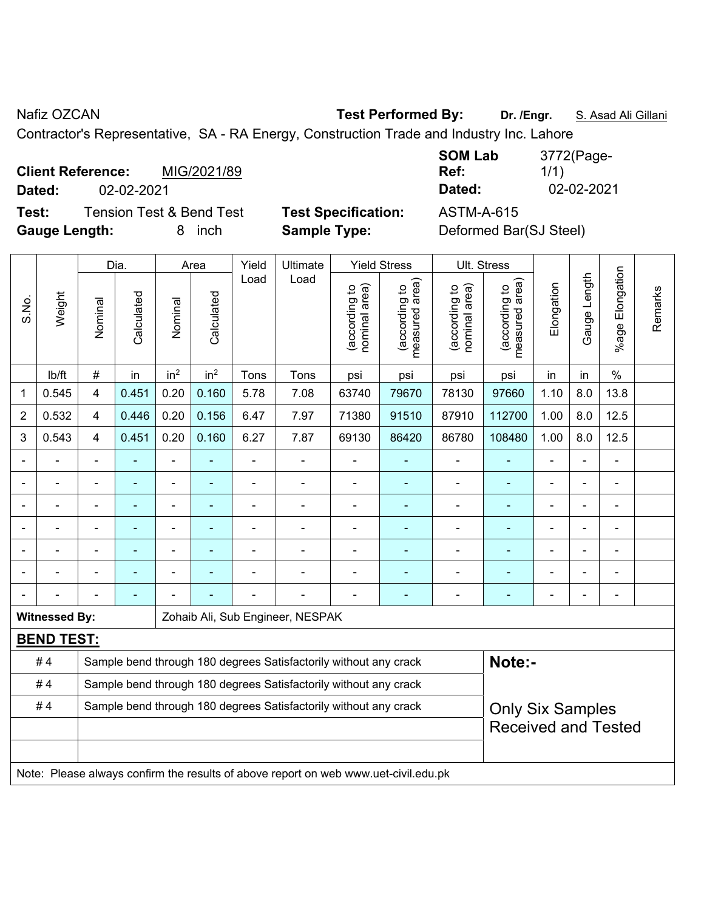Nafiz OZCAN **Test Performed By:** Dr. /Engr. **S. Asad Ali Gillani** Assembly Dr. /Engr. **S. Asad Ali Gillani** 

Contractor's Representative, SA - RA Energy, Construction Trade and Industry Inc. Lahore

**Client Reference:** MIG/2021/89 **Dated:** 02-02-2021 **Dated:** 02-02-2021

**Test:** Tension Test & Bend Test **Test Specification:** ASTM-A-615 **Gauge Length:** 8 inch **Sample Type:** Deformed Bar(SJ Steel)

| <b>SOM Lab</b> | 3772(Page- |
|----------------|------------|
| Ref:           | 1/1)       |
| Dated:         | 02-02-2021 |
|                |            |

|                |                                                                                     |                | Dia.                     |                              | Area            | Yield          | Ultimate                                                         |                                | <b>Yield Stress</b>             |                                | Ult. Stress                     |                          |                |                      |         |
|----------------|-------------------------------------------------------------------------------------|----------------|--------------------------|------------------------------|-----------------|----------------|------------------------------------------------------------------|--------------------------------|---------------------------------|--------------------------------|---------------------------------|--------------------------|----------------|----------------------|---------|
| S.No.          | Weight                                                                              | Nominal        | Calculated               | Nominal                      | Calculated      | Load           | Load                                                             | (according to<br>nominal area) | (according to<br>measured area) | (according to<br>nominal area) | (according to<br>measured area) | Elongation               | Gauge Length   | Elongation<br>%age I | Remarks |
|                | lb/ft                                                                               | $\#$           | in                       | in <sup>2</sup>              | in <sup>2</sup> | Tons           | Tons                                                             | psi                            | psi                             | psi                            | psi                             | in                       | in             | $\%$                 |         |
| 1              | 0.545                                                                               | 4              | 0.451                    | 0.20                         | 0.160           | 5.78           | 7.08                                                             | 63740                          | 79670                           | 78130                          | 97660                           | 1.10                     | 8.0            | 13.8                 |         |
| $\overline{2}$ | 0.532                                                                               | 4              | 0.446                    | 0.20                         | 0.156           | 6.47           | 7.97                                                             | 71380                          | 91510                           | 87910                          | 112700                          | 1.00                     | 8.0            | 12.5                 |         |
| 3              | 0.543                                                                               | 4              | 0.451                    | 0.20                         | 0.160           | 6.27           | 7.87                                                             | 69130                          | 86420                           | 86780                          | 108480                          | 1.00                     | 8.0            | 12.5                 |         |
|                |                                                                                     |                |                          | ä,                           |                 | L,             | ä,                                                               |                                |                                 |                                |                                 |                          |                |                      |         |
|                |                                                                                     |                | $\overline{\phantom{0}}$ | ۰                            | ۰               | $\blacksquare$ | $\blacksquare$                                                   | $\blacksquare$                 | $\overline{a}$                  | $\blacksquare$                 | ÷                               | ÷                        | $\blacksquare$ | $\blacksquare$       |         |
|                |                                                                                     | $\blacksquare$ | ۰                        | ÷,                           | ۰               | ä,             | $\blacksquare$                                                   | $\blacksquare$                 | ÷                               | $\blacksquare$                 | ÷                               | $\overline{\phantom{a}}$ | ÷              | $\blacksquare$       |         |
|                | $\blacksquare$                                                                      | L,             | $\blacksquare$           | $\qquad \qquad \blacksquare$ | ۰               | ä,             | ÷                                                                | $\blacksquare$                 | ÷                               | $\blacksquare$                 | $\blacksquare$                  |                          | ÷              | ÷                    |         |
|                | $\blacksquare$                                                                      | $\blacksquare$ | ۰                        | ۰                            | ۰               |                | $\blacksquare$                                                   | $\blacksquare$                 | ٠                               | $\blacksquare$                 | $\blacksquare$                  |                          | $\blacksquare$ | ÷.                   |         |
|                |                                                                                     |                |                          |                              |                 |                |                                                                  |                                |                                 |                                | $\blacksquare$                  |                          |                | L.                   |         |
|                |                                                                                     |                |                          |                              |                 |                |                                                                  |                                |                                 |                                |                                 |                          |                |                      |         |
|                | <b>Witnessed By:</b>                                                                |                |                          |                              |                 |                | Zohaib Ali, Sub Engineer, NESPAK                                 |                                |                                 |                                |                                 |                          |                |                      |         |
|                | <b>BEND TEST:</b>                                                                   |                |                          |                              |                 |                |                                                                  |                                |                                 |                                |                                 |                          |                |                      |         |
|                | #4                                                                                  |                |                          |                              |                 |                | Sample bend through 180 degrees Satisfactorily without any crack |                                |                                 |                                | Note:-                          |                          |                |                      |         |
|                | #4                                                                                  |                |                          |                              |                 |                | Sample bend through 180 degrees Satisfactorily without any crack |                                |                                 |                                |                                 |                          |                |                      |         |
|                | #4                                                                                  |                |                          |                              |                 |                | Sample bend through 180 degrees Satisfactorily without any crack |                                |                                 |                                | <b>Only Six Samples</b>         |                          |                |                      |         |
|                |                                                                                     |                |                          |                              |                 |                |                                                                  |                                |                                 |                                | <b>Received and Tested</b>      |                          |                |                      |         |
|                |                                                                                     |                |                          |                              |                 |                |                                                                  |                                |                                 |                                |                                 |                          |                |                      |         |
|                | Note: Please always confirm the results of above report on web www.uet-civil.edu.pk |                |                          |                              |                 |                |                                                                  |                                |                                 |                                |                                 |                          |                |                      |         |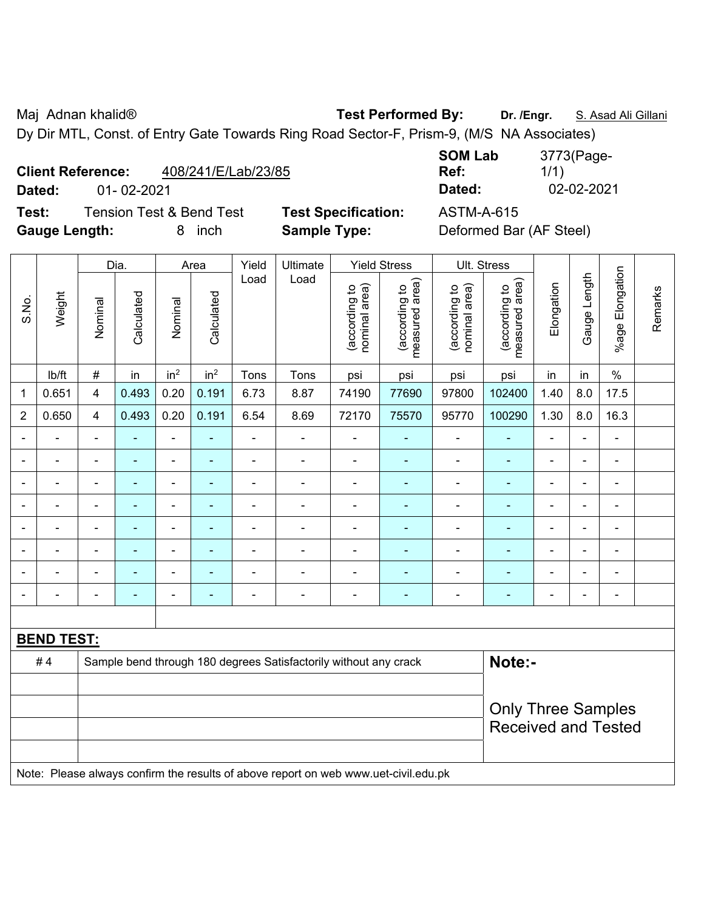Maj Adnan khalid® **Test Performed By: Dr. /Engr.** S. Asad Ali Gillani

Dy Dir MTL, Const. of Entry Gate Towards Ring Road Sector-F, Prism-9, (M/S NA Associates)

| <b>Client Reference:</b> | 408/241/E/Lab/23/85 |
|--------------------------|---------------------|
|                          |                     |

**Test:** Tension Test & Bend Test **Test Specification:** ASTM-A-615 **Gauge Length:** 8 inch **Sample Type:** Deformed Bar (AF Steel)

**SOM Lab Ref:**  3773(Page-1/1) **Dated:** 01- 02-2021 **Dated:** 02-02-2021

|                          |                   |                | Dia.           |                          | Area            | Yield          | Ultimate                                                                            |                                | <b>Yield Stress</b>             | Ult. Stress                    |                                 |                          |                |                              |         |
|--------------------------|-------------------|----------------|----------------|--------------------------|-----------------|----------------|-------------------------------------------------------------------------------------|--------------------------------|---------------------------------|--------------------------------|---------------------------------|--------------------------|----------------|------------------------------|---------|
| S.No.                    | Weight            | Nominal        | Calculated     | Nominal                  | Calculated      | Load           | Load                                                                                | (according to<br>nominal area) | (according to<br>measured area) | (according to<br>nominal area) | (according to<br>measured area) | Elongation               | Gauge Length   | %age Elongation              | Remarks |
|                          | lb/ft             | $\#$           | in             | in <sup>2</sup>          | in <sup>2</sup> | Tons           | Tons                                                                                | psi                            | psi                             | psi                            | psi                             | in                       | in             | $\%$                         |         |
| $\mathbf{1}$             | 0.651             | $\overline{4}$ | 0.493          | 0.20                     | 0.191           | 6.73           | 8.87                                                                                | 74190                          | 77690                           | 97800                          | 102400                          | 1.40                     | 8.0            | 17.5                         |         |
| $\overline{2}$           | 0.650             | $\overline{4}$ | 0.493          | 0.20                     | 0.191           | 6.54           | 8.69                                                                                | 72170                          | 75570                           | 95770                          | 100290                          | 1.30                     | 8.0            | 16.3                         |         |
| $\overline{\phantom{0}}$ |                   | $\blacksquare$ | ÷,             | ÷,                       | ÷               | $\blacksquare$ | $\overline{\phantom{a}}$                                                            | $\blacksquare$                 | ٠                               | $\blacksquare$                 | ۰                               | $\overline{\phantom{a}}$ | ÷,             | $\overline{\phantom{a}}$     |         |
| $\blacksquare$           | $\blacksquare$    | $\blacksquare$ | ÷,             | $\overline{\phantom{0}}$ | ÷               | $\blacksquare$ | $\blacksquare$                                                                      | $\blacksquare$                 | $\blacksquare$                  | $\qquad \qquad \blacksquare$   | ۰                               | $\blacksquare$           | $\blacksquare$ | $\blacksquare$               |         |
| $\blacksquare$           |                   | $\blacksquare$ | $\blacksquare$ | $\blacksquare$           | ÷               | $\blacksquare$ | $\blacksquare$                                                                      | $\blacksquare$                 | $\blacksquare$                  | $\blacksquare$                 | $\frac{1}{2}$                   | $\blacksquare$           | $\blacksquare$ | $\blacksquare$               |         |
|                          |                   | $\blacksquare$ | $\blacksquare$ | $\overline{\phantom{a}}$ | ۰               | $\blacksquare$ | $\blacksquare$                                                                      | $\blacksquare$                 | $\blacksquare$                  | $\blacksquare$                 | ä,                              | $\blacksquare$           | $\blacksquare$ | $\blacksquare$               |         |
|                          |                   |                | ۳              | $\blacksquare$           |                 |                |                                                                                     | $\blacksquare$                 | ۰                               | $\blacksquare$                 | $\blacksquare$                  |                          |                | $\blacksquare$               |         |
|                          |                   | $\blacksquare$ | $\blacksquare$ | $\blacksquare$           |                 |                |                                                                                     | Ē,                             | ۰                               |                                | ÷,                              |                          | $\blacksquare$ | ÷                            |         |
|                          |                   |                | ä,             | $\blacksquare$           |                 |                | $\blacksquare$                                                                      | $\blacksquare$                 | ÷                               | $\blacksquare$                 | ä,                              |                          | $\blacksquare$ | ÷                            |         |
| $\blacksquare$           |                   |                | ÷,             | ۰                        | ÷               | $\blacksquare$ | $\blacksquare$                                                                      | $\blacksquare$                 | ÷                               | $\overline{\phantom{0}}$       | -                               | $\blacksquare$           | $\blacksquare$ | $\qquad \qquad \blacksquare$ |         |
|                          |                   |                |                |                          |                 |                |                                                                                     |                                |                                 |                                |                                 |                          |                |                              |         |
|                          | <b>BEND TEST:</b> |                |                |                          |                 |                |                                                                                     |                                |                                 |                                |                                 |                          |                |                              |         |
|                          | #4                |                |                |                          |                 |                | Sample bend through 180 degrees Satisfactorily without any crack                    |                                |                                 |                                | Note:-                          |                          |                |                              |         |
|                          |                   |                |                |                          |                 |                |                                                                                     |                                |                                 |                                |                                 |                          |                |                              |         |
|                          |                   |                |                |                          |                 |                |                                                                                     |                                |                                 |                                | <b>Only Three Samples</b>       |                          |                |                              |         |
|                          |                   |                |                |                          |                 |                |                                                                                     |                                |                                 |                                | <b>Received and Tested</b>      |                          |                |                              |         |
|                          |                   |                |                |                          |                 |                |                                                                                     |                                |                                 |                                |                                 |                          |                |                              |         |
|                          |                   |                |                |                          |                 |                | Note: Please always confirm the results of above report on web www.uet-civil.edu.pk |                                |                                 |                                |                                 |                          |                |                              |         |